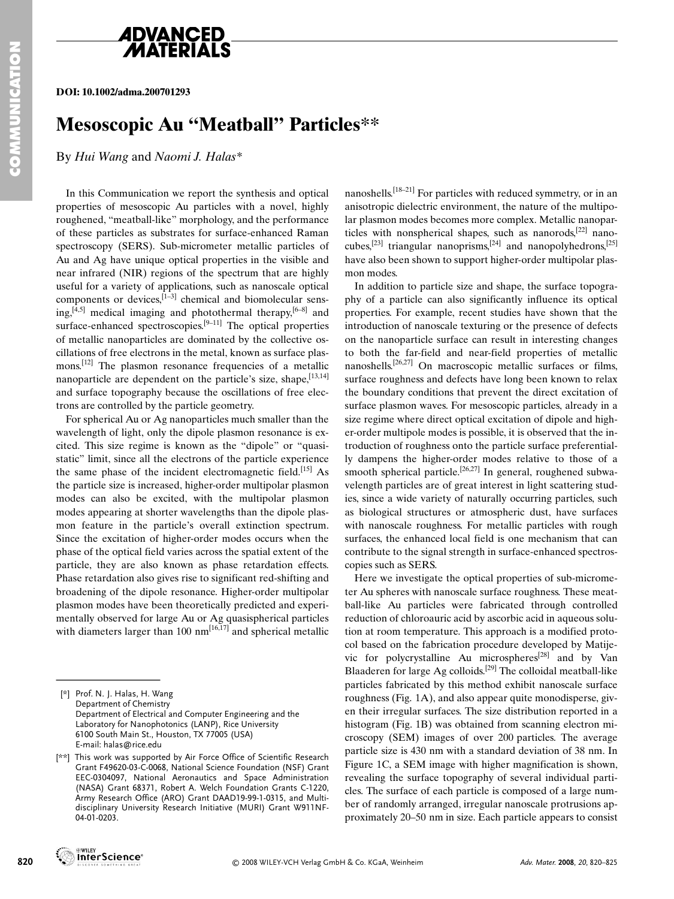

# **4DVANCED**

**DOI: 10.1002/adma.200701293**

### **Mesoscopic Au "Meatball" Particles\*\***

By *Hui Wang* and *Naomi J. Halas\**

In this Communication we report the synthesis and optical properties of mesoscopic Au particles with a novel, highly roughened, "meatball-like" morphology, and the performance of these particles as substrates for surface-enhanced Raman spectroscopy (SERS). Sub-micrometer metallic particles of Au and Ag have unique optical properties in the visible and near infrared (NIR) regions of the spectrum that are highly useful for a variety of applications, such as nanoscale optical components or devices, $^{[1-3]}$  chemical and biomolecular sens $ing, [\bar{4}, 5]$  medical imaging and photothermal therapy,  $[6-8]$  and surface-enhanced spectroscopies.<sup>[9–11]</sup> The optical properties of metallic nanoparticles are dominated by the collective oscillations of free electrons in the metal, known as surface plasmons.<sup>[12]</sup> The plasmon resonance frequencies of a metallic nanoparticle are dependent on the particle's size, shape,  $[13,14]$ and surface topography because the oscillations of free electrons are controlled by the particle geometry.

For spherical Au or Ag nanoparticles much smaller than the wavelength of light, only the dipole plasmon resonance is excited. This size regime is known as the "dipole" or "quasistatic" limit, since all the electrons of the particle experience the same phase of the incident electromagnetic field.<sup>[15]</sup> As the particle size is increased, higher-order multipolar plasmon modes can also be excited, with the multipolar plasmon modes appearing at shorter wavelengths than the dipole plasmon feature in the particle's overall extinction spectrum. Since the excitation of higher-order modes occurs when the phase of the optical field varies across the spatial extent of the particle, they are also known as phase retardation effects. Phase retardation also gives rise to significant red-shifting and broadening of the dipole resonance. Higher-order multipolar plasmon modes have been theoretically predicted and experimentally observed for large Au or Ag quasispherical particles with diameters larger than 100  $nm^{[16,17]}$  and spherical metallic mon feature in the p.<br>Since the excitation of<br>phase of the optical field<br>particle, they are also<br>Phase retardation also g<br>broadening of the dipo<br>plasmon modes have be<br>mentally observed for la<br>with diameters larger th<br>With

nanoshells.<sup>[18–21]</sup> For particles with reduced symmetry, or in an anisotropic dielectric environment, the nature of the multipolar plasmon modes becomes more complex. Metallic nanoparticles with nonspherical shapes, such as nanorods, $^{[22]}$  nanocubes,<sup>[23]</sup> triangular nanoprisms,<sup>[24]</sup> and nanopolyhedrons,<sup>[25]</sup> have also been shown to support higher-order multipolar plasmon modes.

In addition to particle size and shape, the surface topography of a particle can also significantly influence its optical properties. For example, recent studies have shown that the introduction of nanoscale texturing or the presence of defects on the nanoparticle surface can result in interesting changes to both the far-field and near-field properties of metallic nanoshells.[26,27] On macroscopic metallic surfaces or films, surface roughness and defects have long been known to relax the boundary conditions that prevent the direct excitation of surface plasmon waves. For mesoscopic particles, already in a size regime where direct optical excitation of dipole and higher-order multipole modes is possible, it is observed that the introduction of roughness onto the particle surface preferentially dampens the higher-order modes relative to those of a smooth spherical particle.<sup>[26,27]</sup> In general, roughened subwavelength particles are of great interest in light scattering studies, since a wide variety of naturally occurring particles, such as biological structures or atmospheric dust, have surfaces with nanoscale roughness. For metallic particles with rough surfaces, the enhanced local field is one mechanism that can contribute to the signal strength in surface-enhanced spectroscopies such as SERS.

Here we investigate the optical properties of sub-micrometer Au spheres with nanoscale surface roughness. These meatball-like Au particles were fabricated through controlled reduction of chloroauric acid by ascorbic acid in aqueous solution at room temperature. This approach is a modified protocol based on the fabrication procedure developed by Matijevic for polycrystalline Au microspheres[28] and by Van Blaaderen for large Ag colloids.[29] The colloidal meatball-like particles fabricated by this method exhibit nanoscale surface roughness (Fig. 1A), and also appear quite monodisperse, given their irregular surfaces. The size distribution reported in a histogram (Fig. 1B) was obtained from scanning electron microscopy (SEM) images of over 200 particles. The average particle size is 430 nm with a standard deviation of 38 nm. In Figure 1C, a SEM image with higher magnification is shown, revealing the surface topography of several individual particles. The surface of each particle is composed of a large number of randomly arranged, irregular nanoscale protrusions approximately 20–50 nm in size. Each particle appears to consist

**WILEY** 

<sup>[\*]</sup> Prof. N. J. Halas, H. Wang Department of Chemistry Department of Electrical and Computer Engineering and the Laboratory for Nanophotonics (LANP), Rice University 6100 South Main St., Houston, TX 77005 (USA) E-mail: halas@rice.edu

<sup>[\*\*]</sup> This work was supported by Air Force Office of Scientific Research Grant F49620-03-C-0068, National Science Foundation (NSF) Grant EEC-0304097, National Aeronautics and Space Administration (NASA) Grant 68371, Robert A. Welch Foundation Grants C-1220, Army Research Office (ARO) Grant DAAD19-99-1-0315, and Multidisciplinary University Research Initiative (MURI) Grant W911NF-04-01-0203.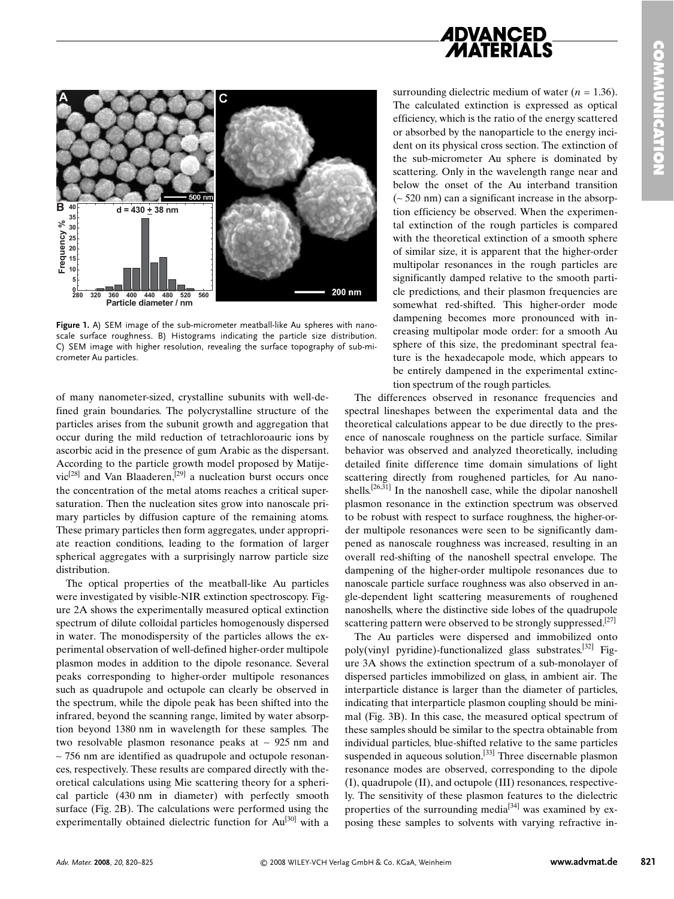



**Figure 1.** A) SEM image of the sub-micrometer meatball-like Au spheres with nanoscale surface roughness. B) Histograms indicating the particle size distribution. C) SEM image with higher resolution, revealing the surface topography of sub-micrometer Au particles.

of many nanometer-sized, crystalline subunits with well-defined grain boundaries. The polycrystalline structure of the particles arises from the subunit growth and aggregation that occur during the mild reduction of tetrachloroauric ions by ascorbic acid in the presence of gum Arabic as the dispersant. According to the particle growth model proposed by Matije $vic^{[28]}$  and Van Blaaderen,<sup>[29]</sup> a nucleation burst occurs once the concentration of the metal atoms reaches a critical supersaturation. Then the nucleation sites grow into nanoscale primary particles by diffusion capture of the remaining atoms. These primary particles then form aggregates, under appropriate reaction conditions, leading to the formation of larger spherical aggregates with a surprisingly narrow particle size distribution.

The optical properties of the meatball-like Au particles were investigated by visible-NIR extinction spectroscopy. Figure 2A shows the experimentally measured optical extinction spectrum of dilute colloidal particles homogenously dispersed in water. The monodispersity of the particles allows the experimental observation of well-defined higher-order multipole plasmon modes in addition to the dipole resonance. Several peaks corresponding to higher-order multipole resonances such as quadrupole and octupole can clearly be observed in the spectrum, while the dipole peak has been shifted into the infrared, beyond the scanning range, limited by water absorption beyond 1380 nm in wavelength for these samples. The two resolvable plasmon resonance peaks at ∼ 925 nm and ∼ 756 nm are identified as quadrupole and octupole resonances, respectively. These results are compared directly with theoretical calculations using Mie scattering theory for a spherical particle (430 nm in diameter) with perfectly smooth surface (Fig. 2B). The calculations were performed using the experimentally obtained dielectric function for Au<sup>[30]</sup> with a surrounding dielectric medium of water  $(n = 1.36)$ . The calculated extinction is expressed as optical efficiency, which is the ratio of the energy scattered or absorbed by the nanoparticle to the energy incident on its physical cross section. The extinction of the sub-micrometer Au sphere is dominated by scattering. Only in the wavelength range near and below the onset of the Au interband transition (∼ 520 nm) can a significant increase in the absorption efficiency be observed. When the experimental extinction of the rough particles is compared with the theoretical extinction of a smooth sphere of similar size, it is apparent that the higher-order multipolar resonances in the rough particles are significantly damped relative to the smooth particle predictions, and their plasmon frequencies are somewhat red-shifted. This higher-order mode dampening becomes more pronounced with increasing multipolar mode order: for a smooth Au sphere of this size, the predominant spectral feature is the hexadecapole mode, which appears to be entirely dampened in the experimental extinction spectrum of the rough particles.

The differences observed in resonance frequencies and spectral lineshapes between the experimental data and the theoretical calculations appear to be due directly to the presence of nanoscale roughness on the particle surface. Similar behavior was observed and analyzed theoretically, including detailed finite difference time domain simulations of light scattering directly from roughened particles, for Au nanoshells.<sup>[26,31]</sup> In the nanoshell case, while the dipolar nanoshell plasmon resonance in the extinction spectrum was observed to be robust with respect to surface roughness, the higher-order multipole resonances were seen to be significantly dampened as nanoscale roughness was increased, resulting in an overall red-shifting of the nanoshell spectral envelope. The dampening of the higher-order multipole resonances due to nanoscale particle surface roughness was also observed in angle-dependent light scattering measurements of roughened nanoshells, where the distinctive side lobes of the quadrupole scattering pattern were observed to be strongly suppressed.<sup>[27]</sup>

The Au particles were dispersed and immobilized onto poly(vinyl pyridine)-functionalized glass substrates.[32] Figure 3A shows the extinction spectrum of a sub-monolayer of dispersed particles immobilized on glass, in ambient air. The interparticle distance is larger than the diameter of particles, indicating that interparticle plasmon coupling should be minimal (Fig. 3B). In this case, the measured optical spectrum of these samples should be similar to the spectra obtainable from individual particles, blue-shifted relative to the same particles suspended in aqueous solution.<sup>[33]</sup> Three discernable plasmon resonance modes are observed, corresponding to the dipole (I), quadrupole (II), and octupole (III) resonances, respectively. The sensitivity of these plasmon features to the dielectric properties of the surrounding media<sup>[34]</sup> was examined by exposing these samples to solvents with varying refractive in-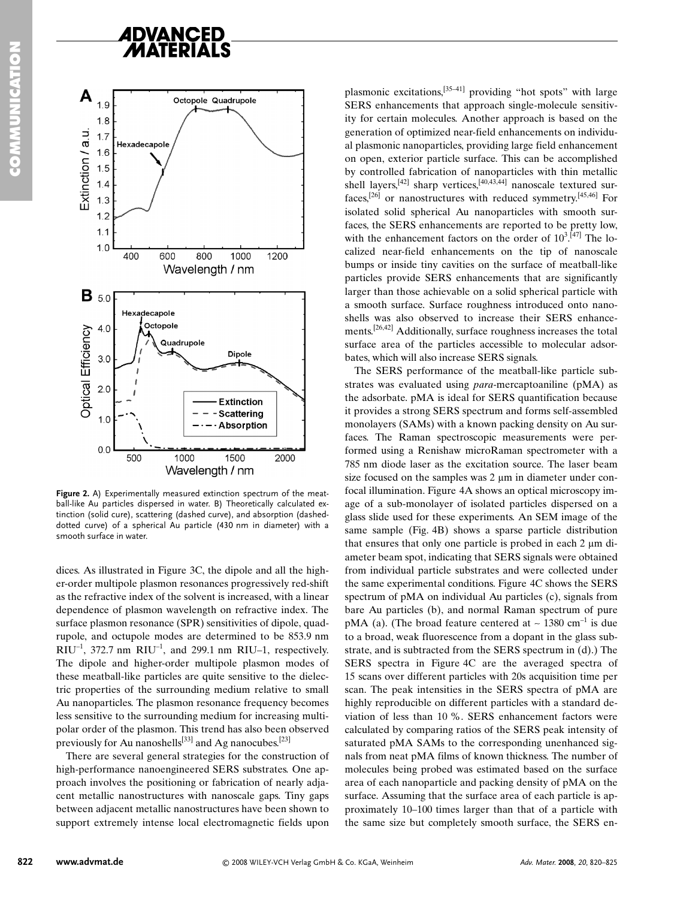

**Figure 2.** A) Experimentally measured extinction spectrum of the meatball-like Au particles dispersed in water. B) Theoretically calculated extinction (solid cure), scattering (dashed curve), and absorption (dasheddotted curve) of a spherical Au particle (430 nm in diameter) with a smooth surface in water.

dices. As illustrated in Figure 3C, the dipole and all the higher-order multipole plasmon resonances progressively red-shift as the refractive index of the solvent is increased, with a linear dependence of plasmon wavelength on refractive index. The surface plasmon resonance (SPR) sensitivities of dipole, quadrupole, and octupole modes are determined to be 853.9 nm  $RIU^{-1}$ , 372.7 nm  $RIU^{-1}$ , and 299.1 nm RIU–1, respectively. The dipole and higher-order multipole plasmon modes of these meatball-like particles are quite sensitive to the dielectric properties of the surrounding medium relative to small Au nanoparticles. The plasmon resonance frequency becomes less sensitive to the surrounding medium for increasing multipolar order of the plasmon. This trend has also been observed previously for Au nanoshells<sup>[33]</sup> and Ag nanocubes.<sup>[23]</sup>

There are several general strategies for the construction of high-performance nanoengineered SERS substrates. One approach involves the positioning or fabrication of nearly adjacent metallic nanostructures with nanoscale gaps. Tiny gaps between adjacent metallic nanostructures have been shown to support extremely intense local electromagnetic fields upon

plasmonic excitations,[35–41] providing "hot spots" with large SERS enhancements that approach single-molecule sensitivity for certain molecules. Another approach is based on the generation of optimized near-field enhancements on individual plasmonic nanoparticles, providing large field enhancement on open, exterior particle surface. This can be accomplished by controlled fabrication of nanoparticles with thin metallic shell layers,<sup>[42]</sup> sharp vertices,<sup>[40,43,44]</sup> nanoscale textured surfaces,[26] or nanostructures with reduced symmetry.[45,46] For isolated solid spherical Au nanoparticles with smooth surfaces, the SERS enhancements are reported to be pretty low, with the enhancement factors on the order of  $10^{3}$ .<sup>[47]</sup> The localized near-field enhancements on the tip of nanoscale bumps or inside tiny cavities on the surface of meatball-like particles provide SERS enhancements that are significantly larger than those achievable on a solid spherical particle with a smooth surface. Surface roughness introduced onto nanoshells was also observed to increase their SERS enhancements.[26,42] Additionally, surface roughness increases the total surface area of the particles accessible to molecular adsorbates, which will also increase SERS signals.

The SERS performance of the meatball-like particle substrates was evaluated using *para*-mercaptoaniline (pMA) as the adsorbate. pMA is ideal for SERS quantification because it provides a strong SERS spectrum and forms self-assembled monolayers (SAMs) with a known packing density on Au surfaces. The Raman spectroscopic measurements were performed using a Renishaw microRaman spectrometer with a 785 nm diode laser as the excitation source. The laser beam size focused on the samples was  $2 \mu m$  in diameter under confocal illumination. Figure 4A shows an optical microscopy image of a sub-monolayer of isolated particles dispersed on a glass slide used for these experiments. An SEM image of the same sample (Fig. 4B) shows a sparse particle distribution that ensures that only one particle is probed in each  $2 \mu m$  diameter beam spot, indicating that SERS signals were obtained from individual particle substrates and were collected under the same experimental conditions. Figure 4C shows the SERS spectrum of pMA on individual Au particles (c), signals from bare Au particles (b), and normal Raman spectrum of pure pMA (a). (The broad feature centered at ~ 1380 cm<sup>-1</sup> is due to a broad, weak fluorescence from a dopant in the glass substrate, and is subtracted from the SERS spectrum in (d).) The SERS spectra in Figure 4C are the averaged spectra of 15 scans over different particles with 20s acquisition time per scan. The peak intensities in the SERS spectra of pMA are highly reproducible on different particles with a standard deviation of less than 10 %. SERS enhancement factors were calculated by comparing ratios of the SERS peak intensity of saturated pMA SAMs to the corresponding unenhanced signals from neat pMA films of known thickness. The number of molecules being probed was estimated based on the surface area of each nanoparticle and packing density of pMA on the surface. Assuming that the surface area of each particle is approximately 10–100 times larger than that of a particle with the same size but completely smooth surface, the SERS en-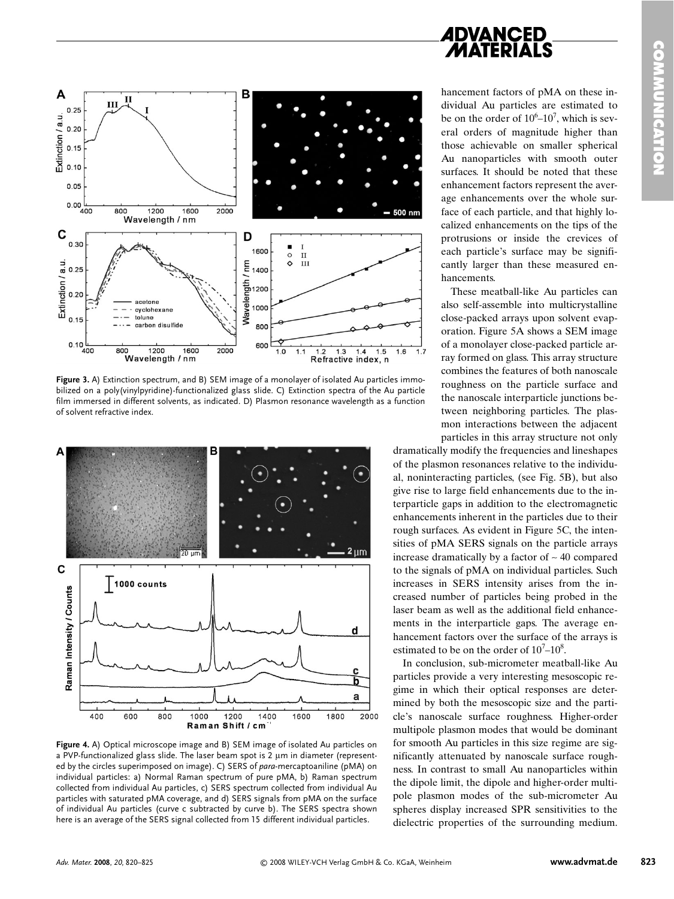

**Figure 3.** A) Extinction spectrum, and B) SEM image of a monolayer of isolated Au particles immobilized on a poly(vinylpyridine)-functionalized glass slide. C) Extinction spectra of the Au particle film immersed in different solvents, as indicated. D) Plasmon resonance wavelength as a function of solvent refractive index.



**Figure 4.** A) Optical microscope image and B) SEM image of isolated Au particles on a PVP-functionalized glass slide. The laser beam spot is 2 um in diameter (represented by the circles superimposed on image). C) SERS of *para*-mercaptoaniline (pMA) on individual particles: a) Normal Raman spectrum of pure pMA, b) Raman spectrum collected from individual Au particles, c) SERS spectrum collected from individual Au particles with saturated pMA coverage, and d) SERS signals from pMA on the surface of individual Au particles (curve c subtracted by curve b). The SERS spectra shown here is an average of the SERS signal collected from 15 different individual particles.

## **ADVANCED**

hancement factors of pMA on these individual Au particles are estimated to be on the order of  $10^6$ – $10^7$ , which is several orders of magnitude higher than those achievable on smaller spherical Au nanoparticles with smooth outer surfaces. It should be noted that these enhancement factors represent the average enhancements over the whole surface of each particle, and that highly localized enhancements on the tips of the protrusions or inside the crevices of each particle's surface may be significantly larger than these measured enhancements.

These meatball-like Au particles can also self-assemble into multicrystalline close-packed arrays upon solvent evaporation. Figure 5A shows a SEM image of a monolayer close-packed particle array formed on glass. This array structure combines the features of both nanoscale roughness on the particle surface and the nanoscale interparticle junctions between neighboring particles. The plasmon interactions between the adjacent particles in this array structure not only

dramatically modify the frequencies and lineshapes of the plasmon resonances relative to the individual, noninteracting particles, (see Fig. 5B), but also give rise to large field enhancements due to the interparticle gaps in addition to the electromagnetic enhancements inherent in the particles due to their rough surfaces. As evident in Figure 5C, the intensities of pMA SERS signals on the particle arrays increase dramatically by a factor of ∼ 40 compared to the signals of pMA on individual particles. Such increases in SERS intensity arises from the increased number of particles being probed in the laser beam as well as the additional field enhancements in the interparticle gaps. The average enhancement factors over the surface of the arrays is estimated to be on the order of  $10^{7}$ – $10^{8}$ .

In conclusion, sub-micrometer meatball-like Au particles provide a very interesting mesoscopic regime in which their optical responses are determined by both the mesoscopic size and the particle's nanoscale surface roughness. Higher-order multipole plasmon modes that would be dominant for smooth Au particles in this size regime are significantly attenuated by nanoscale surface roughness. In contrast to small Au nanoparticles within the dipole limit, the dipole and higher-order multipole plasmon modes of the sub-micrometer Au spheres display increased SPR sensitivities to the dielectric properties of the surrounding medium.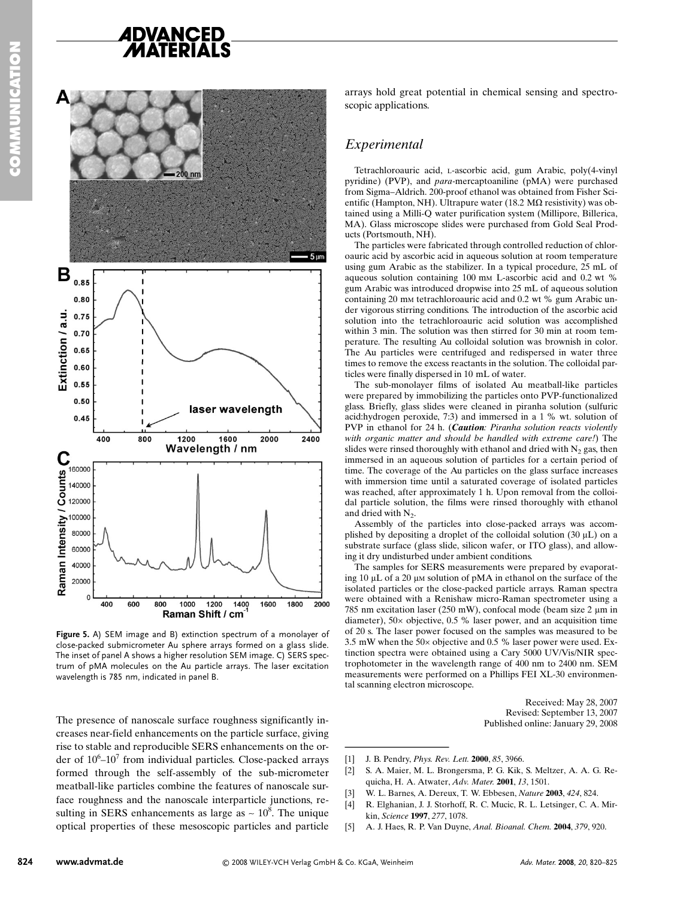

**Figure 5.** A) SEM image and B) extinction spectrum of a monolayer of close-packed submicrometer Au sphere arrays formed on a glass slide. The inset of panel A shows a higher resolution SEM image. C) SERS spectrum of pMA molecules on the Au particle arrays. The laser excitation wavelength is 785 nm, indicated in panel B.

The presence of nanoscale surface roughness significantly increases near-field enhancements on the particle surface, giving rise to stable and reproducible SERS enhancements on the order of  $10^6$ - $10^7$  from individual particles. Close-packed arrays formed through the self-assembly of the sub-micrometer meatball-like particles combine the features of nanoscale surface roughness and the nanoscale interparticle junctions, resulting in SERS enhancements as large as  $\sim 10^8$ . The unique optical properties of these mesoscopic particles and particle

arrays hold great potential in chemical sensing and spectroscopic applications.

### *Experimental*

Tetrachloroauric acid, L-ascorbic acid, gum Arabic, poly(4-vinyl pyridine) (PVP), and *para-*mercaptoaniline (pMA) were purchased from Sigma–Aldrich. 200-proof ethanol was obtained from Fisher Scientific (Hampton, NH). Ultrapure water (18.2 M $\Omega$  resistivity) was obtained using a Milli-Q water purification system (Millipore, Billerica, MA). Glass microscope slides were purchased from Gold Seal Products (Portsmouth, NH).

The particles were fabricated through controlled reduction of chloroauric acid by ascorbic acid in aqueous solution at room temperature using gum Arabic as the stabilizer. In a typical procedure, 25 mL of aqueous solution containing 100 mM L-ascorbic acid and 0.2 wt % gum Arabic was introduced dropwise into 25 mL of aqueous solution containing 20 mM tetrachloroauric acid and 0.2 wt % gum Arabic under vigorous stirring conditions. The introduction of the ascorbic acid solution into the tetrachloroauric acid solution was accomplished within 3 min. The solution was then stirred for 30 min at room temperature. The resulting Au colloidal solution was brownish in color. The Au particles were centrifuged and redispersed in water three times to remove the excess reactants in the solution. The colloidal particles were finally dispersed in 10 mL of water.

The sub-monolayer films of isolated Au meatball-like particles were prepared by immobilizing the particles onto PVP-functionalized glass. Briefly, glass slides were cleaned in piranha solution (sulfuric acid:hydrogen peroxide, 7:3) and immersed in a 1 % wt. solution of PVP in ethanol for 24 h. (*Caution: Piranha solution reacts violently with organic matter and should be handled with extreme care!*) The slides were rinsed thoroughly with ethanol and dried with  $N_2$  gas, then immersed in an aqueous solution of particles for a certain period of time. The coverage of the Au particles on the glass surface increases with immersion time until a saturated coverage of isolated particles was reached, after approximately 1 h. Upon removal from the colloidal particle solution, the films were rinsed thoroughly with ethanol and dried with N<sub>2</sub>.

Assembly of the particles into close-packed arrays was accomplished by depositing a droplet of the colloidal solution  $(30 \mu L)$  on a substrate surface (glass slide, silicon wafer, or ITO glass), and allowing it dry undisturbed under ambient conditions.

The samples for SERS measurements were prepared by evaporating  $10 \mu L$  of a  $20 \mu M$  solution of pMA in ethanol on the surface of the isolated particles or the close-packed particle arrays. Raman spectra were obtained with a Renishaw micro-Raman spectrometer using a 785 nm excitation laser (250 mW), confocal mode (beam size  $2 \mu m$  in diameter), 50× objective, 0.5 % laser power, and an acquisition time of 20 s. The laser power focused on the samples was measured to be 3.5 mW when the 50× objective and 0.5 % laser power were used. Extinction spectra were obtained using a Cary 5000 UV/Vis/NIR spectrophotometer in the wavelength range of 400 nm to 2400 nm. SEM measurements were performed on a Phillips FEI XL-30 environmental scanning electron microscope. isolated particles or the cl<br>
were obtained with a Rer<br>
785 nm excitation laser (25<br>
diameter), 50× objective, (6<br>
of 20 s. The laser power for<br>
5.5 mW when the 50× objective, (6<br>
tinction spectra were obtained trophotome

Received: May 28, 2007 Revised: September 13, 2007 Published online: January 29, 2008

- [1] J. B. Pendry, *Phys. Rev. Lett.* **2000**, *85*, 3966.
- [2] S. A. Maier, M. L. Brongersma, P. G. Kik, S. Meltzer, A. A. G. Requicha, H. A. Atwater, *Adv. Mater.* **2001**, *13*, 1501.
- [3] W. L. Barnes, A. Dereux, T. W. Ebbesen, *Nature* **2003**, *424*, 824.
- [4] R. Elghanian, J. J. Storhoff, R. C. Mucic, R. L. Letsinger, C. A. Mirkin, *Science* **1997**, *277*, 1078.
- [5] A. J. Haes, R. P. Van Duyne, *Anal. Bioanal. Chem.* **2004**, *379*, 920.